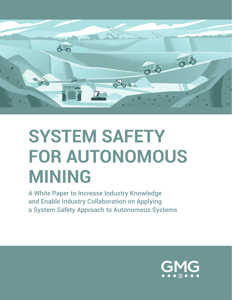

# **SYSTEM SAFETY FOR AUTONOMOUS MINING**

A White Paper to Increase Industry Knowledge and Enable Industry Collaboration on Applying a System Safety Approach to Autonomous Systems

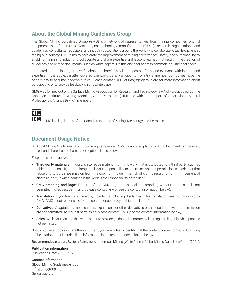# **About the Global Mining Guidelines Group**

The Global Mining Guidelines Group (GMG) is a network of representatives from mining companies, original equipment manufacturers (OEMs), original technology manufacturers (OTMs), research organizations and academics, consultants, regulators, and industry associations around the world who collaborate to tackle challenges facing our industry. GMG aims to accelerate the improvement of mining performance, safety, and sustainability by enabling the mining industry to collaborate and share expertise and lessons learned that result in the creation of guidelines and related documents, such as white papers like this one, that address common industry challenges.

Interested in participating or have feedback to share? GMG is an open platform, and everyone with interest and expertise in the subject matter covered can participate. Participants from GMG member companies have the opportunity to assume leadership roles. Please contact GMG at [info@gmggroup.org](mailto:info@gmggroup.org) for more information about participating or to provide feedback on this white paper.

GMG was formed out of the Surface Mining Association for Research and Technology (SMART) group as part of the Canadian Institute of Mining, Metallurgy and Petroleum (CIM) and with the support of other Global Mineral Professionals Alliance (GMPA) members.



GMG is a legal entity of the Canadian Institute of Mining, Metallurgy and Petroleum.

### **Document Usage Notice**

© Global Mining Guidelines Group. Some rights reserved. GMG is an open platform. This document can be used, copied, and shared, aside from the exceptions listed below.

Exceptions to the above:

- Third-party materials: If you wish to reuse material from this work that is attributed to a third party, such as tables, quotations, figures, or images, it is your responsibility to determine whether permission is needed for that reuse and to obtain permission from the copyright holder. The risk of claims resulting from infringement of any third-party-owned content in the work is the responsibility of the user.
- GMG branding and logo: The use of the GMG logo and associated branding without permission is not permitted. To request permission, please contact GMG (see the contact information below).
- Translation: If you translate the work, include the following disclaimer: "This translation was not produced by GMG. GMG is not responsible for the content or accuracy of this translation."
- Derivatives: Adaptations, modifications, expansions, or other derivatives of this document without permission are not permitted. To request permission, please contact GMG (see the contact information below).
- Sales: While you can use this white paper to provide guidance in commercial settings, selling this white paper is not permitted.

Should you use, copy, or share this document, you must clearly identify that the content comes from GMG by citing it. The citation must include all the information in the recommended citation below.

Recommended citation: System Safety for Autonomous Mining (White Paper). Global Mining Guidelines Group (2021).

#### Publication information

Publication Date: 2021-09-29

#### Contact information

Global Mining Guidelines Group info@gmggroup.org Gmggroup.org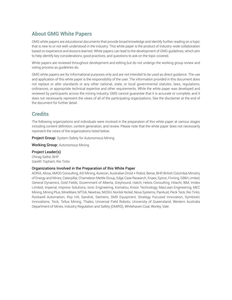# **About GMG White Papers**

GMG white papers are educational documents that provide broad knowledge and identify further reading on a topic that is new to or not well-understood in the industry. This white paper is the product of industry-wide collaboration based on experience and lessons learned. White papers can lead to the development of GMG guidelines, which aim to help identify key considerations, good practices, and questions to ask on the topic covered.

White papers are reviewed throughout development and editing but do not undergo the working group review and voting process as guidelines do.

GMG white papers are for informational purposes only and are not intended to be used as direct guidance. The use and application of this white paper is the responsibility of the user. The information provided in this document does not replace or alter standards or any other national, state, or local governmental statutes, laws, regulations, ordinances, or appropriate technical expertise and other requirements. While the white paper was developed and reviewed by participants across the mining industry, GMG cannot guarantee that it is accurate or complete, and it does not necessarily represent the views of all of the participating organizations. See the disclaimer at the end of the document for further detail.

### **Credits**

The following organizations and individuals were involved in the preparation of this white paper at various stages including content definition, content generation, and review. Please note that the white paper does not necessarily represent the views of the organizations listed below.

**Project Group:** System Safety for Autonomous Mining

Working Group: Autonomous Mining

Project Leader(s) Chirag Sathe, BHP Gareth Topham, Rio Tinto

#### Organizations Involved in the Preparation of this White Paper

ADRIA, Alcoa, AMOG Consulting, ASI Mining, Aurecon, Australian Droid + Robot, Beroe, BHP, British Columbia Ministry of Energy and Mines, Caterpillar, Chameleon Mettle Group, Edge Case Research, Enaex, Epiroc, Finning, GBM Limited, General Dynamics, Gold Fields, Government of Alberta, Greyhound, Hatch, Helios Consulting, Hitachi, IBM, Imdex Limited, Imperial, Impress Solutions, Ionic Engineering, Komatsu, Kroon Technology, MacLean Engineering, MEC Mining, Mining Plus, MineWare, MTGA, Newtrax, NIOSH, Norilsk Nickel, Nova Systems, PanAust, Peck Teck, Rio Tinto, Rockwell Automation, Roy Hill, Sandvik, Siemens, SMS Equipment, Strategy Focused Innovation, Symbiotic Innovations, Teck, Tellus Mining, Thales, Universal Field Robots, University of Queensland, Western Australia Department of Mines, Industry Regulation and Safety (DMIRS), Whitehaven Coal, Worley, Vale.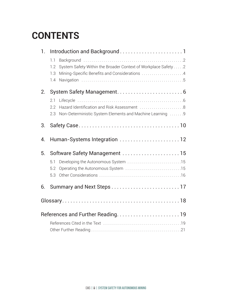# **CONTENTS**

| $\mathbf{1}$ . |                                                                                                                                             |  |
|----------------|---------------------------------------------------------------------------------------------------------------------------------------------|--|
|                | 1.1<br>System Safety Within the Broader Context of Workplace Safety 2<br>1.2<br>Mining-Specific Benefits and Considerations 4<br>1.3<br>1.4 |  |
| 2.             |                                                                                                                                             |  |
|                | 2.1<br>Hazard Identification and Risk Assessment 8<br>2.2<br>Non-Deterministic System Elements and Machine Learning 9<br>2.3                |  |
| 3.             |                                                                                                                                             |  |
| 4.             | Human-Systems Integration  12                                                                                                               |  |
| 5.             | Software Safety Management  15                                                                                                              |  |
|                | 5.1<br>5.2<br>5.3                                                                                                                           |  |
| 6.             |                                                                                                                                             |  |
|                |                                                                                                                                             |  |
|                |                                                                                                                                             |  |
|                |                                                                                                                                             |  |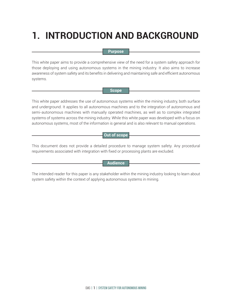# <span id="page-4-0"></span>**1. INTRODUCTION AND BACKGROUND**

### **Purpose**

This white paper aims to provide a comprehensive view of the need for a system safety approach for those deploying and using autonomous systems in the mining industry. It also aims to increase awareness of system safety and its benefits in delivering and maintaining safe and efficient autonomous systems.

**Scope**

This white paper addresses the use of autonomous systems within the mining industry, both surface and underground. It applies to all autonomous machines and to the integration of autonomous and semi-autonomous machines with manually operated machines, as well as to complex integrated systems of systems across the mining industry. While this white paper was developed with a focus on autonomous systems, most of the information is general and is also relevant to manual operations.

### **Out of scope**

This document does not provide a detailed procedure to manage system safety. Any procedural requirements associated with integration with fixed or processing plants are excluded.

### **Audience**

The intended reader for this paper is any stakeholder within the mining industry looking to learn about system safety within the context of applying autonomous systems in mining.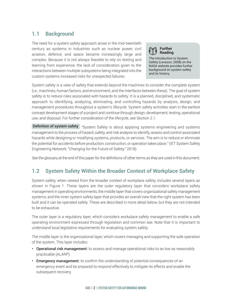# <span id="page-5-0"></span>**1.1 Background**

The need for a system safety approach arose in the mid-twentieth century as systems in industries such as nuclear power, civil aviation, defence, and space became increasingly large and complex. Because it is not always feasible to rely on testing and learning from experience, the lack of consideration given to the interactions between multiple subsystems being integrated into the custom systems increased risks for unexpected failures.

The Introduction to System Safety (Leveson, 2008) on the NASA website provides further background on system safety and its history. **Further Reading**

System safety is a view of safety that extends beyond the machines to consider the complete system (i.e., machines, human factors, and environment, and the interfaces between these). The goal of system safety is to reduce risks associated with hazards to safety. It is a planned, disciplined, and systematic approach to identifying, analyzing, eliminating, and controlling hazards by analysis, design, and management procedures throughout a system's lifecycle. System safety activities start in the earliest concept development stages of a project and continue through design, development, testing, operational use, and disposal. For further consideration of the lifecycle, see Section 2.1.

Definition of system safety "System Safety is about applying systems engineering and systems management to the process of hazard, safety, and risk analysis to identify, assess and control associated hazards while designing or modifying systems, products, or services. The aim is to reduce or eliminate the potential for accidents before production, construction, or operation takes place." (IET System Safety Engineering Network, ["Changing for the Future of Safety,"](https://communities.theiet.org/groups/blogpost/view/47/203/6180) 2018)

See the glossary at the end of this paper for the definitions of other terms as they are used in this document.

# **1.2 System Safety Within the Broader Context of Workplace Safety**

System safety, when viewed from the broader context of workplace safety, includes several layers as shown in Figure 1. These layers are the outer regulatory layer that considers workplace safety management in operating environments, the middle layer that covers organizational safety management systems, and the inner system safety layer that provides an overall view that the right system has been built and it can be operated safely. These are described in more detail below, but they are not intended to be exhaustive.

The outer layer is a regulatory layer, which considers workplace safety management to enable a safe operating environment expressed through legislation and common law. Note that it is important to understand local legislative requirements for evaluating system safety.

The middle layer is the organizational layer, which covers managing and supporting the safe operation of the system. This layer includes:

- Operational risk management: to assess and manage operational risks to as low as reasonably practicable (ALARP).
- Emergency management: to confirm the understanding of potential consequences of an emergency event and be prepared to respond effectively to mitigate its effects and enable the subsequent recovery.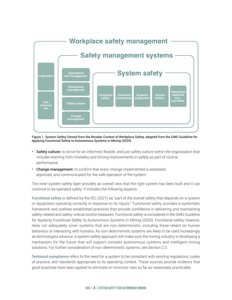

Figure 1. System Safety Viewed from the Broader Context of Workplace Safety, adapted from the *GMG Guideline for Applying Functional Safety to Autonomous Systems in Mining* (2020)

- Safety culture: to strive for an informed, flexible, and just safety culture within the organization that includes learning from mistakes and driving improvements in safety as part of routine performance.
- Change management: to confirm that every change implemented is assessed, approved, and communicated for the safe operation of the system.

The inner system safety layer provides an overall view that the right system has been built and it can continue to be operated safely. It includes the following aspects:

**Functional safety** is defined by the IEC (2021) as "part of the overall safety that depends on a system or equipment operating correctly in response to its inputs." Functional safety provides a systematic framework and outlines established practices that provide confidence in delivering and maintaining safety-related and safety-critical control measures. Functional safety is considered in the GMG *Guideline for Applying Functional Safety to Autonomous Systems in Mining* (2020). Functional safety, however, does not adequately cover systems that are non-deterministic, including those reliant on human behaviour or interacting with humans. As non-deterministic systems are likely to be used increasingly as technologies advance, a system safety approach will make sure the mining industry is developing a mechanism for the future that will support complex autonomous systems and intelligent mining solutions. For further consideration of non-deterministic systems, see Section 2.3.

**Technical compliance** refers to the need for a system to be compliant with existing regulations, codes of practice, and standards appropriate to its operating context. These sources provide evidence that good practices have been applied to eliminate or minimize risks so far as reasonably practicable.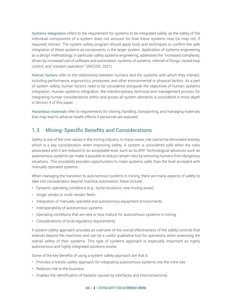<span id="page-7-0"></span>**Systems integration** refers to the requirement for systems to be integrated safely, as the safety of the individual components of a system does not account for how these systems may (or may not, if required) interact. The system safety program should apply tools and techniques to confirm the safe integration of these systems as components in the larger system. Application of systems engineering as a design methodology, in particular safety systems engineering, addresses the "increased complexity, driven by increased use of software and automation, systems of systems, internet of things, closed loop control, and 'inexpert operators'" (INCOSE, 2021).

**Human factors** refer to the relationship between humans and the systems with which they interact, including performance, ergonomics, processes, and other environmental or physical factors. As a part of system safety, human factors need to be considered alongside the objectives of human-systems integration. Human-systems integration, the interdisciplinary technical and management process for integrating human considerations within and across all system elements is considered in more depth in Section 4 of this paper.

**Hazardous materials** refer to requirements for storing, handling, transporting, and managing materials that may lead to adverse health effects if personnel are exposed.

# **1.3 Mining-Specific Benefits and Considerations**

Safety is one of the core values in the mining industry. In many cases, risk cannot be eliminated entirely, which is a key consideration when improving safety. A system is considered safe when the risks associated with it are reduced to an acceptable level, such as ALARP. Technological advances such as autonomous systems can make it possible to reduce certain risks by removing humans from dangerous situations. This possibility provides opportunities to make systems safer than the level accepted with manually operated systems.

When managing the transition to autonomous systems in mining, there are many aspects of safety to take into consideration beyond machine automation, these include:

- Dynamic operating conditions (e.g., dump locations, new mining areas)
- Single vendor or multi-vendor fleets
- Integration of manually operated and autonomous equipment environments
- Interoperability of autonomous systems
- Operating conditions that are new or less mature for autonomous systems in mining
- Considerations of local regulatory requirements

A system safety approach provides an overview of the overall effectiveness of the safety controls that extends beyond the machines and can be a useful qualitative tool for operations when assessing the overall safety of their systems. This type of systems approach is especially important as highly autonomous and highly integrated solutions evolve.

Some of the key benefits of using a system safety approach are that it:

- Provides a holistic safety approach for integrating autonomous systems into the mine site
- Reduces risk to the business
- Enables the identification of hazards caused by interfaces and interconnectivity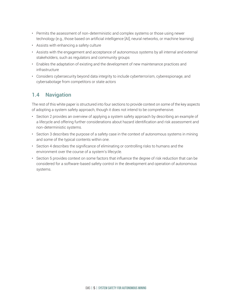- <span id="page-8-0"></span>• Permits the assessment of non-deterministic and complex systems or those using newer technology (e.g., those based on artificial intelligence [AI], neural networks, or machine learning)
- Assists with enhancing a safety culture
- Assists with the engagement and acceptance of autonomous systems by all internal and external stakeholders, such as regulators and community groups
- Enables the adaptation of existing and the development of new maintenance practices and infrastructure
- Considers cybersecurity beyond data integrity to include cyberterrorism, cyberespionage, and cybersabotage from competitors or state actors

# **1.4 Navigation**

The rest of this white paper is structured into four sections to provide context on some of the key aspects of adopting a system safety approach, though it does not intend to be comprehensive.

- Section 2 provides an overview of applying a system safety approach by describing an example of a lifecycle and offering further considerations about hazard identification and risk assessment and non-deterministic systems.
- Section 3 describes the purpose of a safety case in the context of autonomous systems in mining and some of the typical contents within one.
- Section 4 describes the significance of eliminating or controlling risks to humans and the environment over the course of a system's lifecycle.
- Section 5 provides context on some factors that influence the degree of risk reduction that can be considered for a software-based safety control in the development and operation of autonomous systems.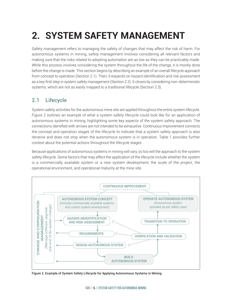# <span id="page-9-0"></span>**2. SYSTEM SAFETY MANAGEMENT**

Safety management refers to managing the safety of changes that may affect the risk of harm. For autonomous systems in mining, safety management involves considering all relevant factors and making sure that the risks related to adopting automation are as low as they can be practicably made. While this process involves considering the system throughout the life of the change, it is mostly done before the change is made. This section begins by describing an example of an overall lifecycle approach from concept to operation (Section 2.1). Then, it expands on hazard identification and risk assessment as a key first step in system safety management (Section 2.2). It closes by considering non-deterministic systems, which are not as easily mapped to a traditional lifecycle (Section 2.3).

# **2.1 Lifecycle**

System safety activities for the autonomous mine site are applied throughout the entire system lifecycle. Figure 2 outlines an example of what a system safety lifecycle could look like for an application of autonomous systems in mining, highlighting some key aspects of the system safety approach. The connections identified with arrows are not intended to be exhaustive. Continuous improvement connects the concept and operation stages of the lifecycle to indicate that a system safety approach is also iterative and does not stop when the autonomous system is in operation. Table 1 provides further context about the potential actions throughout the lifecycle stages.

Because applications of autonomous systems in mining will vary, so too will the approach to the system safety lifecycle. Some factors that may affect the application of the lifecycle include whether the system is a commercially available system or a new system development, the scale of the project, the operational environment, and operational maturity at the mine site.



Figure 2. Example of System Safety Lifecycle for Applying Autonomous Systems in Mining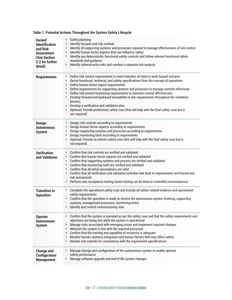| <b>Hazard</b><br><b>Identification</b><br>and Risk<br><b>Assessment</b><br>(See Section<br>2.2 for further<br>detail) | Safety planning<br>$\bullet$<br>Identify hazards and risk controls<br>Identify all supporting systems and processes required to manage effectiveness of risk control<br>$\bullet$<br>Identify human factor aspects that can influence safety<br>$\bullet$<br>Identify any deterministic functional safety controls and follow relevant functional safety<br>$\bullet$<br>standards and guidance<br>Identify cybersecurity risks and conduct a separate risk analysis<br>$\bullet$                                                                                                                                                                                                                                                                                                 |
|-----------------------------------------------------------------------------------------------------------------------|-----------------------------------------------------------------------------------------------------------------------------------------------------------------------------------------------------------------------------------------------------------------------------------------------------------------------------------------------------------------------------------------------------------------------------------------------------------------------------------------------------------------------------------------------------------------------------------------------------------------------------------------------------------------------------------------------------------------------------------------------------------------------------------|
| <b>Requirements</b>                                                                                                   | Define risk control requirements to meet intention of claim in each hazard scenario<br>$\bullet$<br>Derive functional, technical, and safety specifications from the concept of operations<br>$\bullet$<br>Define human factor aspect requirements<br>$\bullet$<br>Define requirements for supporting systems and processes to manage controls effectively<br>$\bullet$<br>Define risk control monitoring requirements to maintain control effectiveness<br>$\bullet$<br>Develop forward and backward traceability to link requirements throughout the validation<br>$\bullet$<br>process<br>Develop a verification and validation plan<br>$\bullet$<br>Optional: Provide preliminary safety case (this will help with the final safety case but is<br>$\bullet$<br>not required) |
| <b>Design</b><br><b>Autonomous</b><br><b>System</b>                                                                   | Design risk controls according to requirements<br>Design human factor aspects according to requirements<br>$\bullet$<br>Design supporting systems and processes according to requirements<br>$\bullet$<br>Design monitoring tools according to requirements<br>$\bullet$<br>Optional: Provide an interim safety case (this will help with the final safety case but is<br>$\bullet$<br>not required)                                                                                                                                                                                                                                                                                                                                                                              |
| <b>Verification</b><br>and Validation                                                                                 | Confirm that risk controls are verified and validated<br>$\bullet$<br>Confirm that human factor aspects are verified and validated<br>$\bullet$<br>Confirm that supporting systems and process are verified and validated<br>$\bullet$<br>Confirm that monitoring tools are verified and validated<br>$\bullet$<br>Confirm that all initial assumptions are valid<br>$\bullet$<br>Confirm that all verification and validation activities link back to requirements and hazard and<br>risk assessment<br>Perform user acceptance testing (some testing can be done in controlled circumstances)<br>$\bullet$                                                                                                                                                                      |
| <b>Transition to</b><br><b>Operation</b>                                                                              | Complete the operational safety case and include all safety-related evidence and operational<br>$\bullet$<br>safety requirements<br>Confirm that the operation is ready to receive the autonomous system (training, supporting<br>systems, management processes, monitoring tools)<br>Identify and control commissioning risks                                                                                                                                                                                                                                                                                                                                                                                                                                                    |
| <b>Operate</b><br><b>Autonomous</b><br><b>System</b>                                                                  | Confirm that the system is operated as per the safety case and that the safety requirements and<br>$\bullet$<br>objectives are being met while the system is operational<br>Manage risks associated with emerging issues and implement required changes<br>$\bullet$<br>Maintain the system in line with the required processes<br>$\bullet$<br>Confirm that the training and capability of resources is adequate<br>$\bullet$<br>Monitor human-systems integration and human factors that may affect safety<br>$\bullet$<br>Monitor risk controls for consistency with the requirement specifications<br>$\bullet$                                                                                                                                                               |
| <b>Change and</b><br><b>Configuration</b><br><b>Management</b>                                                        | Manage change and configuration of the autonomous system to enable optimal<br>$\bullet$<br>safety performance<br>Manage software upgrade and end of life system changes<br>$\bullet$                                                                                                                                                                                                                                                                                                                                                                                                                                                                                                                                                                                              |

### **Table 1. Potential Actions Throughout the System Safety Lifecycle**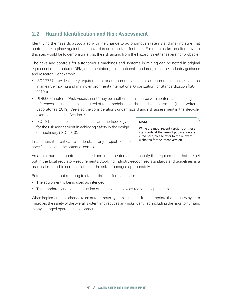# <span id="page-11-0"></span>**2.2 Hazard Identification and Risk Assessment**

Identifying the hazards associated with the change to autonomous systems and making sure that controls are in place against each hazard is an important first step. For minor risks, an alternative to this step would be to demonstrate that the risk arising from the hazard is neither severe nor probable.

The risks and controls for autonomous machines and systems in mining can be noted in original equipment manufacturer (OEM) documentation, in international standards, or in other industry guidance and research. For example:

- [ISO 17757](http://iso.org/standard/76126.html) provides safety requirements for autonomous and semi-autonomous machine systems in an earth-moving and mining environment (International Organization for Standardization [ISO], 2019a).
- [UL4600 Chapter 6 "Risk Assessment"](https://ul.org/UL4600) may be another useful source with content and scoping references, including details required of fault models, hazards, and risk assessment (Underwriters Laboratories, 2019). See also the considerations under hazard and risk assessment in the lifecycle example outlined in Section 2.
- [ISO 12100](https://www.iso.org/standard/51528.html) identifies basic principles and methodology for the risk assessment in achieving safety in the design of machinery (ISO, 2010).

In addition, it is critical to understand any project or sitespecific risks and the potential controls.

While the most recent versions of these standards at the time of publication are cited here, please refer to the relevant websites for the latest version.

**Note**

As a minimum, the controls identified and implemented should satisfy the requirements that are set out in the local regulatory requirements. Applying industry-recognized standards and guidelines is a practical method to demonstrate that the risk is managed appropriately.

Before deciding that referring to standards is sufficient, confirm that:

- The equipment is being used as intended
- The standards enable the reduction of the risk to as low as reasonably practicable

When implementing a change to an autonomous system in mining, it is appropriate that the new system improves the safety of the overall system and reduces any risks identified, including the risks to humans in any changed operating environment.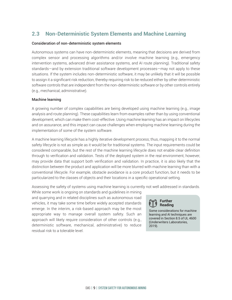# <span id="page-12-0"></span>**2.3 Non-Deterministic System Elements and Machine Learning**

### Consideration of non-deterministic system elements

Autonomous systems can have non-deterministic elements, meaning that decisions are derived from complex sensor and processing algorithms and/or involve machine learning (e.g., emergency intervention systems, advanced driver assistance systems, and AI route planning). Traditional safety standards—and by extension traditional software development processes—may not apply to these situations. If the system includes non-deterministic software, it may be unlikely that it will be possible to assign it a significant risk reduction, thereby requiring risk to be reduced either by other deterministic software controls that are independent from the non-deterministic software or by other controls entirely (e.g., mechanical, administrative).

### Machine learning

A growing number of complex capabilities are being developed using machine learning (e.g., image analysis and route planning). These capabilities learn from examples rather than by using conventional development, which can make them cost-effective. Using machine learning has an impact on lifecycles and on assurance, and this impact can cause challenges when employing machine learning during the implementation of some of the system software.

A machine learning lifecycle has a highly iterative development process; thus, mapping it to the normal safety lifecycle is not as simple as it would be for traditional systems. The input requirements could be considered comparable, but the rest of the machine learning lifecycle does not enable clear definition through to verification and validation. Tests of the deployed system in the real environment, however, may provide data that support both verification and validation. In practice, it is also likely that the distinction between the product and application will be more blurred with machine learning than with a conventional lifecycle. For example, obstacle avoidance is a core product function, but it needs to be particularized to the classes of objects and their locations in a specific operational setting.

Assessing the safety of systems using machine learning is currently not well addressed in standards.

While some work is ongoing on standards and guidelines in mining and quarrying and in related disciplines such as autonomous road vehicles, it may take some time before widely accepted standards emerge. In the interim, a risk-based approach may be the most appropriate way to manage overall system safety. Such an approach will likely require consideration of other controls (e.g., deterministic software, mechanical, administrative) to reduce residual risk to a tolerable level.

**Further Reading**

Some considerations for machine learning and AI techniques are covered in [Section 8.5 of UL 4600](https://ul.org/UL4600) (Underwriters Laboratories, 2019).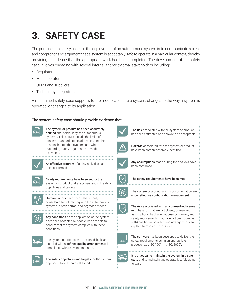# <span id="page-13-0"></span>**3. SAFETY CASE**

The purpose of a safety case for the deployment of an autonomous system is to communicate a clear and comprehensive argument that a system is acceptably safe to operate in a particular context, thereby providing confidence that the appropriate work has been completed. The development of the safety case involves engaging with several internal and/or external stakeholders including:

- **Regulators**
- Mine operators
- OEMs and suppliers
- Technology integrators

A maintained safety case supports future modifications to a system, changes to the way a system is operated, or changes to its application.

### The system safety case should provide evidence that:

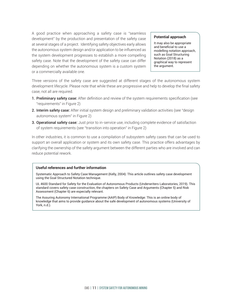A good practice when approaching a safety case is "seamless development" by the production and presentation of the safety case at several stages of a project. Identifying safety objectives early allows the autonomous system design and/or application to be influenced as the system development progresses to establish a more compelling safety case. Note that the development of the safety case can differ depending on whether the autonomous system is a custom system or a commercially available one.

#### **Potential approach**

It may also be appropriate and beneficial to use a modelling notation approach, such as [Goal Structuring](https://www.goalstructuringnotation.info/) [Notation](https://www.goalstructuringnotation.info/) (2018) as a graphical way to represent the argument.

Three versions of the safety case are suggested at different stages of the autonomous system development lifecycle. Please note that while these are progressive and help to develop the final safety case, not all are required.

- 1. Preliminary safety case: After definition and review of the system requirements specification (see "requirements" in Figure 2)
- 2. Interim safety case: After initial system design and preliminary validation activities (see "design autonomous system" in Figure 2)
- **3. Operational safety case:** Just prior to in-service use, including complete evidence of satisfaction of system requirements (see "transition into operation" in Figure 2)

In other industries, it is common to use a compilation of subsystem safety cases that can be used to support an overall application or system and its own safety case. This practice offers advantages by clarifying the ownership of the safety argument between the different parties who are involved and can reduce potential rework.

#### **Useful references and further information**

[Systematic Approach to Safety Case Management](https://www.sae.org/publications/technical-papers/content/2004-01-1779/) (Kelly, 2004): This article outlines safety case development using the Goal Structured Notation technique.

[UL 4600 Standard for Safety for the Evaluation of Autonomous Products](https://ul.org/UL4600) (Underwriters Laboratories, 2019). This standard covers safety case construction, the chapters on Safety Case and Arguments (Chapter 5) and Risk Assessment (Chapter 6) are especially relevant.

[The Assuring Autonomy International Programme \(AAIP\) Body of Knowledge:](https://www.york.ac.uk/assuring-autonomy/body-of-knowledge/) This is an online body of knowledge that aims to provide guidance about the safe development of autonomous systems (University of York, n.d.).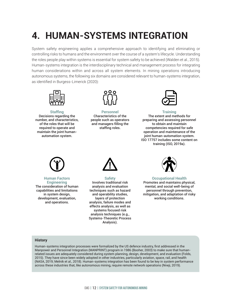# <span id="page-15-0"></span>**4. HUMAN-SYSTEMS INTEGRATION**

System safety engineering applies a comprehensive approach to identifying and eliminating or controlling risks to humans and the environment over the course of a system's lifecycle. Understanding the roles people play within systems is essential for system safety to be achieved (Walden et al., 2015). Human-systems integration is the interdisciplinary technical and management process for integrating human considerations within and across all system elements. In mining operations introducing autonomous systems, the following six domains are considered relevant to human-systems integration, as identified in Burgess-Limerick (2020):



**Staffing** Decisions regarding the number, and characteristics, of the roles that will be required to operate and maintain the joint humanautomation system.



**Personnel** Characteristics of the people such as operators and managers filling the staffing roles.



**Training** The extent and methods for preparing and assessing personnel to obtain and maintain competencies required for safe operation and maintenance of the joint human-automation system. ISO 17757 includes some content on training (ISO, 2019a).



#### **Human Factors Engineering**

The consideration of human capabilities and limitations in system design, development, evaluation, and operations.



**Safety** Involves traditional risk analysis and evaluation techniques such as hazard and operability studies, layers of protection analysis, failure modes and effects analysis, as well as systems focused risk analysis techniques (e.g., Systems-Theoretic Process Analysis).



**Occupational Health** Promotes and maintains physical, mental, and social well-being of personnel through prevention, mitigation, and adaptation of risky working conditions.

#### **History**

Human-systems integration processes were formalized by the US defence industry, first addressed in the Manpower and Personnel Integration (MANPRINT) program in 1986 (Booher, 2003) to make sure that humanrelated issues are adequately considered during system planning, design, development, and evaluation (Folds, 2015). They have since been widely adopted in other industries, particularly aviation, space, rail, and health (NASA, 2019; Melnik et al., 2018). Human-systems integration has been found to be key in system performance across these industries that, like autonomous mining, require remote network operations (Nneji, 2019).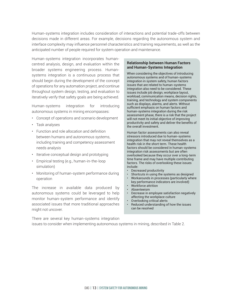Human-systems integration includes consideration of interactions and potential trade-offs between decisions made in different areas. For example, decisions regarding the autonomous system and interface complexity may influence personnel characteristics and training requirements, as well as the anticipated number of people required for system operation and maintenance.

Human-systems integration incorporates humancentred analysis, design, and evaluation within the broader systems engineering process. Humansystems integration is a continuous process that should begin during the development of the concept of operations for any automation project, and continue throughout system design, testing, and evaluation to iteratively verify that safety goals are being achieved.

Human-systems integration for introducing autonomous systems in mining encompasses:

- Concept of operations and scenario development
- Task analyses
- Function and role allocation and definition between humans and autonomous systems, including training and competency assessment needs analysis
- Iterative conceptual design and prototyping
- Empirical testing (e.g., human-in-the-loop simulation)
- Monitoring of human-system performance during operation

The increase in available data produced by autonomous systems could be leveraged to help monitor human-system performance and identify associated issues that more traditional approaches might not uncover.

### **Relationship between Human Factors and Human-Systems Integration**

When considering the objectives of introducing autonomous systems and of human-systems integration in system safety, human factors issues that are related to human-systems integration also need to be considered. These issues include job design, workplace layout, workload, communication means, decision rights, training, and technology and system components such as displays, alarms, and alerts. Without sufficient emphasis on human factors and human-systems integration during the risk assessment phase, there is a risk that the project will not meet its initial objective of improving productivity and safety and deliver the benefits of the overall investment.

Human factor assessments can also reveal stressors introduced due to human-systems integration that may not reveal themselves as a health risk in the short term. These health factors should be considered in human-systems integration risk assessments but are often overlooked because they occur over a long-term time frame and may have multiple contributing factors. The risks of overlooking these issues include:

- Decreased productivity
- Shortcuts in using the systems as designed
- Workarounds in processes (particularly where key performance indicators are involved)
- Workforce attrition
- Absenteeism
- Decrease in employee satisfaction negatively affecting the workplace culture
- Overlooking critical alerts
- Reduced understanding of how the issues can be resolved

There are several key human-systems integration issues to consider when implementing autonomous systems in mining, described in Table 2.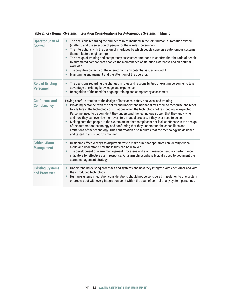| <b>Operator Span of</b><br><b>Control</b>   | The decisions regarding the number of roles included in the joint human-automation system<br>(staffing) and the selection of people for these roles (personnel).<br>The interactions with the design of interfaces by which people supervise autonomous systems<br>$\bullet$<br>(human factors engineering).<br>The design of training and competency assessment methods to confirm that the ratio of people<br>to automated components enables the maintenance of situation awareness and an optimal<br>workload.<br>The cognitive capacity of the operator and any potential issues around it.<br>Maintaining engagement and the attention of the operator.                                                                                                                                                      |
|---------------------------------------------|--------------------------------------------------------------------------------------------------------------------------------------------------------------------------------------------------------------------------------------------------------------------------------------------------------------------------------------------------------------------------------------------------------------------------------------------------------------------------------------------------------------------------------------------------------------------------------------------------------------------------------------------------------------------------------------------------------------------------------------------------------------------------------------------------------------------|
| <b>Role of Existing</b><br><b>Personnel</b> | The decisions regarding the changes in roles and responsibilities of existing personnel to take<br>$\bullet$<br>advantage of existing knowledge and experience.<br>Recognition of the need for ongoing training and competency assessment.                                                                                                                                                                                                                                                                                                                                                                                                                                                                                                                                                                         |
| <b>Confidence and</b><br><b>Complacency</b> | Paying careful attention to the design of interfaces, safety analyses, and training.<br>Providing personnel with the ability and understanding that allows them to recognize and react<br>to a failure in the technology or situations when the technology not responding as expected.<br>Personnel need to be confident they understand the technology so well that they know when<br>and how they can override it or revert to a manual process, if they ever need to do so.<br>Making sure that people in the system are neither complacent nor lack confidence in the design<br>of the automation technology and confirming that they understand the capabilities and<br>limitations of the technology. This confirmation also requires that the technology be designed<br>and tested in a trustworthy manner. |
| <b>Critical Alarm</b><br><b>Management</b>  | Designing effective ways to display alarms to make sure that operators can identify critical<br>$\bullet$<br>alerts and understand how the issues can be resolved.<br>The development of alarm management processes and alarm management key performance<br>indicators for effective alarm response. An alarm philosophy is typically used to document the<br>alarm management strategy.                                                                                                                                                                                                                                                                                                                                                                                                                           |
| <b>Existing Systems</b><br>and Processes    | Understanding existing processes and systems and how they integrate with each other and with<br>the introduced technology.<br>Human-systems integration considerations should not be considered in isolation to one system<br>$\bullet$<br>or process but with every integration point within the span of control of any system personnel.                                                                                                                                                                                                                                                                                                                                                                                                                                                                         |

### **Table 2. Key Human-Systems Integration Considerations for Autonomous Systems in Mining**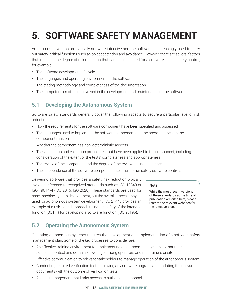# <span id="page-18-1"></span><span id="page-18-0"></span>**5. SOFTWARE SAFETY MANAGEMENT**

Autonomous systems are typically software intensive and the software is increasingly used to carry out safety-critical functions such as object detection and avoidance. However, there are several factors that influence the degree of risk reduction that can be considered for a software-based safety control, for example:

- The software development lifecycle
- The languages and operating environment of the software
- The testing methodology and completeness of the documentation
- The competencies of those involved in the development and maintenance of the software

# **5.1 Developing the Autonomous System**

Software safety standards generally cover the following aspects to secure a particular level of risk reduction:

- How the requirements for the software component have been specified and assessed
- The languages used to implement the software component and the operating system the component runs on
- Whether the component has non-deterministic aspects
- The verification and validation procedures that have been applied to the component, including consideration of the extent of the tests' completeness and appropriateness
- The review of the component and the degree of the reviewers' independence
- The independence of the software component itself from other safety software controls

Delivering software that provides a safety risk reduction typically involves reference to recognized standards such as ISO 13849 or ISO 19014-4 (ISO 2015, ISO 2020). These standards are used for base machine system development, but the overall process may be used for autonomous system development. ISO 21448 provides an example of a risk-based approach using the safety of the intended function (SOTIF) for developing a software function (ISO 2019b).

#### **Note**

While the most recent versions of these standards at the time of publication are cited here, please refer to the relevant websites for the latest version.

# **5.2 Operating the Autonomous System**

Operating autonomous systems requires the development and implementation of a software safety management plan. Some of the key processes to consider are:

- An effective training environment for implementing an autonomous system so that there is sufficient context and domain knowledge among operators and maintainers onsite
- Effective communication to relevant stakeholders to manage operation of the autonomous system
- Conducting required verification tests following any software upgrade and updating the relevant documents with the outcome of verification tests
- Access management that limits access to authorized personnel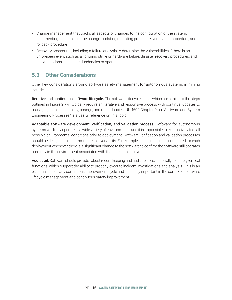- <span id="page-19-0"></span>• Change management that tracks all aspects of changes to the configuration of the system, documenting the details of the change, updating operating procedure, verification procedure, and rollback procedure
- Recovery procedures, including a failure analysis to determine the vulnerabilities if there is an unforeseen event such as a lightning strike or hardware failure, disaster recovery procedures, and backup options, such as redundancies or spares

# **5.3 Other Considerations**

Other key considerations around software safety management for autonomous systems in mining include:

Iterative and continuous software lifecycle: The software lifecycle steps, which are similar to the steps outlined in Figure 2, will typically require an iterative and responsive process with continual updates to manage gaps, dependability, change, and redundancies. [UL 4600 Chapter 9 on "Software and System](https://ul.org/UL4600) [Engineering Processes"](https://ul.org/UL4600) is a useful reference on this topic.

Adaptable software development, verification, and validation process: Software for autonomous systems will likely operate in a wide variety of environments, and it is impossible to exhaustively test all possible environmental conditions prior to deployment. Software verification and validation processes should be designed to accommodate this variability. For example, testing should be conducted for each deployment whenever there is a significant change to the software to confirm the software still operates correctly in the environment associated with that specific deployment.

Audit trail: Software should provide robust record keeping and audit abilities, especially for safety-critical functions, which support the ability to properly execute incident investigations and analysis. This is an essential step in any continuous improvement cycle and is equally important in the context of software lifecycle management and continuous safety improvement.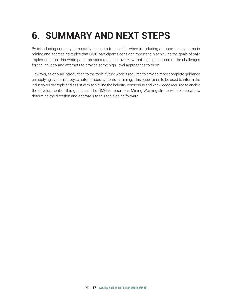# <span id="page-20-0"></span>**6. SUMMARY AND NEXT STEPS**

By introducing some system safety concepts to consider when introducing autonomous systems in mining and addressing topics that GMG participants consider important in achieving the goals of safe implementation, this white paper provides a general overview that highlights some of the challenges for the industry and attempts to provide some high-level approaches to them.

However, as only an introduction to the topic, future work is required to provide more complete guidance on applying system safety to autonomous systems in mining. This paper aims to be used to inform the industry on the topic and assist with achieving the industry consensus and knowledge required to enable the development of this guidance. The GMG Autonomous Mining Working Group will collaborate to determine the direction and approach to this topic going forward.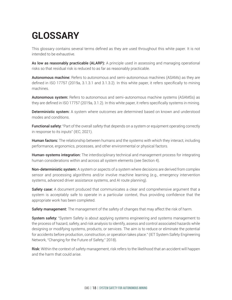# <span id="page-21-0"></span>**GLOSSARY**

This glossary contains several terms defined as they are used throughout this white paper. It is not intended to be exhaustive.

As low as reasonably practicable (ALARP): A principle used in assessing and managing operational risks so that residual risk is reduced to as far as reasonably practicable.

Autonomous machine: Refers to autonomous and semi-autonomous machines (ASAMs) as they are defined in ISO 17757 (2019a, 3.1.3.1 and 3.1.3.2). In this white paper, it refers specifically to mining machines.

Autonomous system: Refers to autonomous and semi-autonomous machine systems (ASAMSs) as they are defined in ISO 17757 (2019a, 3.1.2). In this white paper, it refers specifically systems in mining.

**Deterministic system:** A system where outcomes are determined based on known and understood modes and conditions.

**Functional safety:** "Part of the overall safety that depends on a system or equipment operating correctly in response to its inputs" (IEC, 2021).

**Human factors:** The relationship between humans and the systems with which they interact, including performance, ergonomics, processes, and other environmental or physical factors.

**Human-systems integration:** The interdisciplinary technical and management process for integrating human considerations within and across all system elements (see Section 4).

**Non-deterministic system:** A system or aspects of a system where decisions are derived from complex sensor and processing algorithms and/or involve machine learning (e.g., emergency intervention systems, advanced driver assistance systems, and AI route planning).

Safety case: A document produced that communicates a clear and comprehensive argument that a system is acceptably safe to operate in a particular context, thus providing confidence that the appropriate work has been completed.

Safety management: The management of the safety of changes that may affect the risk of harm.

**System safety:** "System Safety is about applying systems engineering and systems management to the process of hazard, safety, and risk analysis to identify, assess and control associated hazards while designing or modifying systems, products, or services. The aim is to reduce or eliminate the potential for accidents before production, construction, or operation takes place." (IET System Safety Engineering Network, ["Changing for the Future of Safety,"](https://communities.theiet.org/groups/blogpost/view/47/203/6180) 2018).

Risk: Within the context of safety management, risk refers to the likelihood that an accident will happen and the harm that could arise.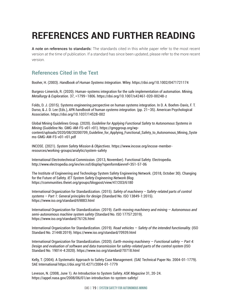# <span id="page-22-0"></span>**REFERENCES AND FURTHER READING**

A note on references to standards: The standards cited in this white paper refer to the most recent version at the time of publication. If a standard has since been updated, please refer to the more recent version.

### **References Cited in the Text**

Booher, H. (2003). *Handbook of Human Systems Integration*. Wiley.<https://doi.org/10.1002/0471721174>

Burgess-Limerick, R. (2020). Human-systems integration for the safe implementation of automation. *Mining, Metallurgy & Exploration.* 37, =1799–1806.<https://doi.org/10.1007/s42461-020-00248-z>

Folds, D. J. (2015). Systems engineering perspective on human systems integration. In D. A. Boehm-Davis, F. T. Durso, & J. D. Lee (Eds.), *APA handbook of human systems integration.* (pp. 21–35). American Psychological Association.<https://doi.org/10.1037/14528-002>

Global Mining Guidelines Group. (2020). *Guideline for Applying Functional Safety to Autonomous Systems in Mining* (Guideline No. GMG-AM-FS-v01-r01). [https://gmggroup.org/wp](https://gmggroup.org/wp-content/uploads/2020/08/20200709_Guideline_for_Applying_Functional_Safety_to_Autonomous_Mining_Systems-GMG-AM-FS-v01-r01.pdf)[content/uploads/2020/08/20200709\\_Guideline\\_for\\_Applying\\_Functional\\_Safety\\_to\\_Autonomous\\_Mining\\_Syste](https://gmggroup.org/wp-content/uploads/2020/08/20200709_Guideline_for_Applying_Functional_Safety_to_Autonomous_Mining_Systems-GMG-AM-FS-v01-r01.pdf) [ms-GMG-AM-FS-v01-r01.pdf](https://gmggroup.org/wp-content/uploads/2020/08/20200709_Guideline_for_Applying_Functional_Safety_to_Autonomous_Mining_Systems-GMG-AM-FS-v01-r01.pdf)

INCOSE. (2021). *System Safety Mission & Objectives.* [https://www.incose.org/incose-member](https://www.incose.org/incose-member-resources/working-groups/analytic/system-safety)[resources/working-groups/analytic/system-safety](https://www.incose.org/incose-member-resources/working-groups/analytic/system-safety)

International Electrotechnical Commission. (2013, November). Functional Safety. Electropedia. <http://www.electropedia.org/iev/iev.nsf/display?openform&ievref=351-57-06>

The Institute of Engineering and Technology System Safety Engineering Network. (2018, October 30). Changing for the Future of Safety. *IET System Safety Engineering Network Blog*. <https://communities.theiet.org/groups/blogpost/view/47/203/6180>

International Organization for Standardization. (2015). *Safety of machinery – Safety-related parts of control systems – Part 1: General principles for design* (Standard No. ISO 13849-1:2015). <https://www.iso.org/standard/69883.html>

International Organization for Standardization. (2019). *Earth-moving machinery and mining — Autonomous and semi-autonomous machine system safety* (Standard No. ISO 17757:2019). <https://www.iso.org/standard/76126.html>

International Organization for Standardization. (2019). *Road vehicles — Safety of the intended functionality.* (ISO Standard No. 21448:2019).<https://www.iso.org/standard/70939.html>

International Organization for Standardization. (2020). *Earth-moving machinery — Functional safety — Part 4: Design and evaluation of software and data transmission for safety-related parts of the control system* (ISO Standard No. 19014-4:2020). <https://www.iso.org/standard/70718.html>

Kelly, T. (2004). A Systematic Approach to Safety Case Management. (SAE Technical Paper No. 2004-01-1779). SAE International<https://doi.org/10.4271/2004-01-1779>

Leveson, N. (2008, June 1). An Introduction to System Safety. *ASK Magazine* 31, 20-24. <https://appel.nasa.gov/2008/06/01/an-introduction-to-system-safety/>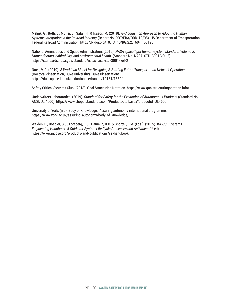Melnik, G., Roth, E., Multer, J., Safar, H., & Isaacs, M. (2018). *An Acquisition Approach to Adopting Human Systems Integration in the Railroad Industry* (Report No. DOT/FRA/ORD-18/05). US Department of Transportation Federal Railroad Administration. [http://dx.doi.org/10.13140/RG.2.2.16041.65120](http://dx.doi.org/10.13140/RG.2.2.16041.65120 ) 

National Aeronautics and Space Administration. (2019). *NASA spaceflight human-system standard. Volume 2: Human factors, habitability, and environmental health*. (Standard No. NASA-STD-3001 VOL 2). <https://standards.nasa.gov/standard/nasa/nasa-std-3001-vol-2>

Nneji, V. C. (2019). *A Workload Model for Designing & Staffing Future Transportation Network Operations* (Doctoral dissertation, Duke University). Duke Dissertations. <https://dukespace.lib.duke.edu/dspace/handle/10161/18694>

Safety Critical Systems Club. (2018). Goal Structuring Notation.<https://www.goalstructuringnotation.info/>

Underwriters Laboratories. (2019). *Standard for Safety for the Evaluation of Autonomous Products* (Standard No. ANSI/UL 4600).<https://www.shopulstandards.com/ProductDetail.aspx?productid=UL4600>

University of York. (n.d). Body of Knowledge. Assuring autonomy international programme. <https://www.york.ac.uk/assuring-autonomy/body-of-knowledge/>

Walden, D., Roedler, G.J., Forsberg, K.J., Hamelin, R.D. & Shortell, T.M. (Eds.). (2015). *INCOSE Systems Engineering Handbook: A Guide for System Life Cycle Processes and Activities* (4<sup>th</sup> ed). <https://www.incose.org/products-and-publications/se-handbook>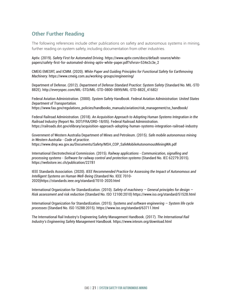### <span id="page-24-0"></span>**Other Further Reading**

The following references include other publications on safety and autonomous systems in mining, further reading on system safety, including documentation from other industries.

Aptiv. (2019). *Safety First for Automated Driving.* [https://www.aptiv.com/docs/default-source/white](https://www.aptiv.com/docs/default-source/white-papers/safety-first-for-automated-driving-aptiv-white-paper.pdf?sfvrsn=534e2c3e_2)[papers/safety-first-for-automated-driving-aptiv-white-paper.pdf?sfvrsn=534e2c3e\\_2](https://www.aptiv.com/docs/default-source/white-papers/safety-first-for-automated-driving-aptiv-white-paper.pdf?sfvrsn=534e2c3e_2)

CMEIG EMESRT, and ICMM. (2020). *White Paper and Guiding Principles for Functional Safety for Earthmoving Machinery.* <https://www.cmeig.com.au/working-groups/engineering/>

Department of Defense. (2012). *Department of Defense Standard Practice: System Safety* (Standard No. MIL-STD 882E). [http://everyspec.com/MIL-STD/MIL-STD-0800-0899/MIL-STD-882E\\_41682/](http://everyspec.com/MIL-STD/MIL-STD-0800-0899/MIL-STD-882E_41682/)

Federal Aviation Administration. (2000). *System Safety Handbook. Federal Aviation Administration: United States Department of Transportation.* [https://www.faa.gov/regulations\\_policies/handbooks\\_manuals/aviation/risk\\_management/ss\\_handbook/](https://www.faa.gov/regulations_policies/handbooks_manuals/aviation/risk_management/ss_handbook/)

Federal Railroad Administration. (2018). *An Acquisition Approach to Adopting Human Systems Integration in the Railroad Industry* (Report No. DOT/FRA/ORD-18/05). Federal Railroad Administration. <https://railroads.dot.gov/elibrary/acquisition-approach-adopting-human-systems-integration-railroad-industry>

Government of Western Australia Department of Mines and Petroleum. (2015). *Safe mobile autonomous mining in Western Australia - Code of practice.* [https://www.dmp.wa.gov.au/Documents/Safety/MSH\\_COP\\_SafeMobileAutonomousMiningWA.pdf](https://www.dmp.wa.gov.au/Documents/Safety/MSH_COP_SafeMobileAutonomousMiningWA.pdf)

International Electrotechnical Commission. (2015). *Railway applications - Communication, signalling and processing systems - Software for railway control and protection systems* (Standard No. IEC 62279:2015). <https://webstore.iec.ch/publication/22781>

IEEE Standards Association. (2020). *IEEE Recommended Practice for Assessing the Impact of Autonomous and Intelligent Systems on Human Well-Being* (Standard No. IEEE 7010- 2020[\)https://standards.ieee.org/standard/7010-2020.html](https://standards.ieee.org/standard/7010-2020.html)

International Organization for Standardization. (2010). *Safety of machinery — General principles for design — Risk assessment and risk reduction* (Standard No. ISO 12100:2010)<https://www.iso.org/standard/51528.html>

International Organization for Standardization. (2015). *Systems and software engineering — System life cycle processes* (Standard No. ISO 15288:2015).<https://www.iso.org/standard/63711.html>

The International Rail Industry's Engineering Safety Management Handbook. (2017). *The International Rail Industry's Engineering Safety Management Handbook.* <https://www.intesm.org/download.html>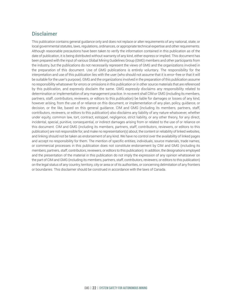### **Disclaimer**

This publication contains general guidance only and does not replace or alter requirements of any national, state, or local governmental statutes, laws, regulations, ordinances, or appropriate technical expertise and other requirements. Although reasonable precautions have been taken to verify the information contained in this publication as of the date of publication, it is being distributed without warranty of any kind, either express or implied. This document has been prepared with the input of various Global Mining Guidelines Group (GMG) members and other participants from the industry, but the publications do not necessarily represent the views of GMG and the organizations involved in the preparation of this document. Use of GMG publications is entirely voluntary. The responsibility for the interpretation and use of this publication lies with the user (who should not assume that it is error-free or that it will be suitable for the user's purpose). GMG and the organizations involved in the preparation of this publication assume no responsibility whatsoever for errors or omissions in this publication or in other source materials that are referenced by this publication, and expressly disclaim the same. GMG expressly disclaims any responsibility related to determination or implementation of any management practice. In no event shall CIM or GMG (including its members, partners, staff, contributors, reviewers, or editors to this publication) be liable for damages or losses of any kind, however arising, from the use of or reliance on this document, or implementation of any plan, policy, guidance, or decision, or the like, based on this general guidance. CIM and GMG (including its members, partners, staff, contributors, reviewers, or editors to this publication) also disclaims any liability of any nature whatsoever, whether under equity, common law, tort, contract, estoppel, negligence, strict liability, or any other theory, for any direct, incidental, special, punitive, consequential, or indirect damages arising from or related to the use of or reliance on this document. CIM and GMG (including its members, partners, staff, contributors, reviewers, or editors to this publication) are not responsible for, and make no representation(s) about, the content or reliability of linked websites, and linking should not be taken as endorsement of any kind. We have no control over the availability of linked pages and accept no responsibility for them. The mention of specific entities, individuals, source materials, trade names, or commercial processes in this publication does not constitute endorsement by CIM and GMG (including its members, partners, staff, contributors, reviewers, or editors to this publication). In addition, the designations employed and the presentation of the material in this publication do not imply the expression of any opinion whatsoever on the part of CIM and GMG (including its members, partners, staff, contributors, reviewers, or editors to this publication) on the legal status of any country, territory, city or area or of its authorities, or concerning delimitation of any frontiers or boundaries. This disclaimer should be construed in accordance with the laws of Canada.